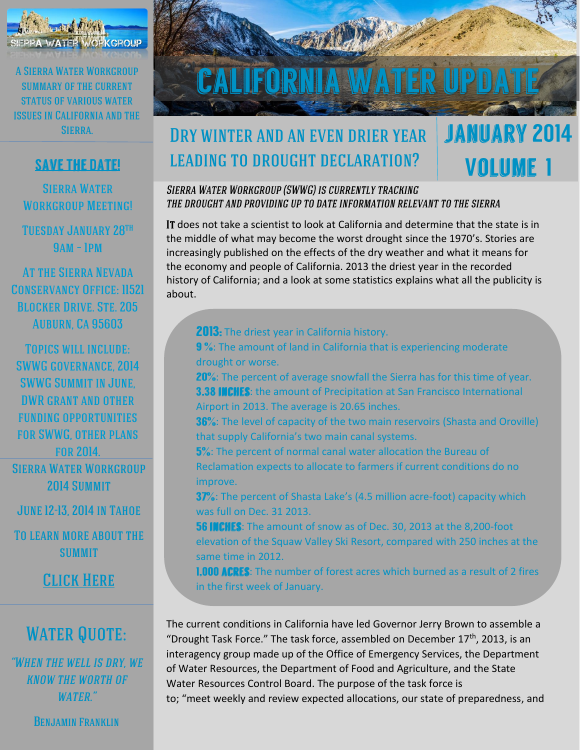

#### **SAVE THE DATE!**

**SIERRA WATER WORKGROUP MEETING!** 

**TUESDAY JANUARY 28TH**  $9AM - IPM$ 

**AT THE SIERRA NEVADA CONSERVANCY OFFICE: 11521 BLOCKER DRIVE, STE. 205 AUBURN. CA 95603** 

**TOPICS WILL INCLUDE: SWWG GOVERNANCE, 2014 SWWG SUMMIT IN JUNE. DWR GRANT AND OTHER FUNDING OPPORTUNITIES FOR SWWG, OTHER PLANS FOR 2014. SIERRA WATER WORKGROUP** 2014 SUMMIT

**JUNE 12-13, 2014 IN TAHOE** 

**TO LEARN MORE ABOUT THE SUMMIT** 

**CLICK HERE** 

## **WATER QUOTE:**

"WHEN THE WELL IS DRY. WE **KNOW THE WORTH OF WATER."** 

**BENJAMIN FRANKLIN** 



**VOLUME 1** 

## **DRY WINTER AND AN EVEN DRIER YEAR LEADING TO DROUGHT DECLARATION?**

**2013:** The driest year in California history.

Airport in 2013. The average is 20.65 inches.

that supply California's two main canal systems.

drought or worse.

#### SIERRA WATER WORKGROUP (SWWG) IS CURRENTLY TRACKING THE DROUGHT AND PROVIDING UP TO DATE INFORMATION RELEVANT TO THE SIERRA

IT does not take a scientist to look at California and determine that the state is in the middle of what may become the worst drought since the 1970's. Stories are increasingly published on the effects of the dry weather and what it means for the economy and people of California. 2013 the driest year in the recorded history of California; and a look at some statistics explains what all the publicity is about.

9%: The amount of land in California that is experiencing moderate

20%: The percent of average snowfall the Sierra has for this time of year.

36%: The level of capacity of the two main reservoirs (Shasta and Oroville)

**3.38 INCHES:** the amount of Precipitation at San Francisco International

5%: The percent of normal canal water allocation the Bureau of Reclamation expects to allocate to farmers if current conditions do no improve. 37%: The percent of Shasta Lake's (4.5 million acre-foot) capacity which was full on Dec. 31 2013. 56 INCHES: The amount of snow as of Dec. 30, 2013 at the 8,200-foot elevation of the Squaw Valley Ski Resort, compared with 250 inches at the same time in 2012. **I,000 ACRES:** The number of forest acres which burned as a result of 2 fires in the first week of January. The current conditions in California have led Governor Jerry Brown to assemble a "Drought Task Force." The task force, assembled on December 17<sup>th</sup>, 2013, is an interagency group made up of the Office of Emergency Services, the Department of Water Resources, the Department of Food and Agriculture, and the State Water Resources Control Board. The purpose of the task force is to; "meet weekly and review expected allocations, our state of preparedness, and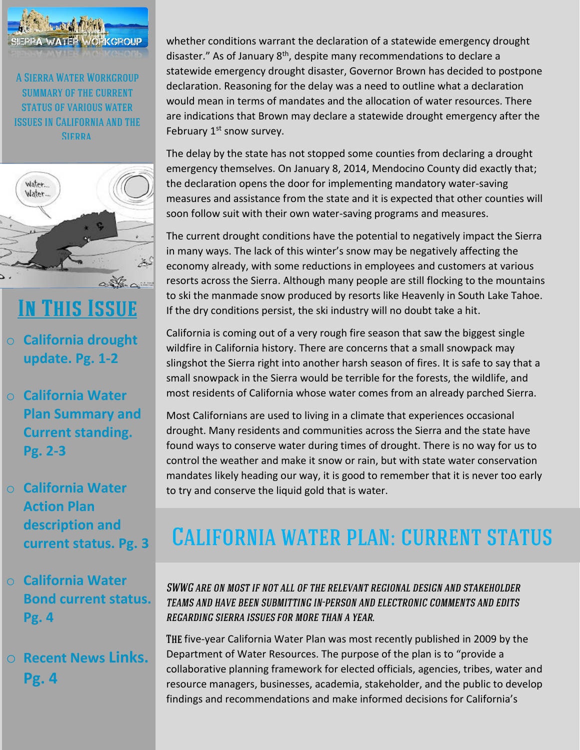



# **IN THIS ISSUE**

- o **California drought update. Pg. 1-2**
- o **California Water Plan Summary and Current standing. Pg. 2-3**
- o **California Water Action Plan description and current status. Pg. 3**
- o **California Water Bond current status. Pg. 4**
- o **Recent News Links. Pg. 4**

whether conditions warrant the declaration of a statewide emergency drought disaster." As of January  $8<sup>th</sup>$ , despite many recommendations to declare a statewide emergency drought disaster, Governor Brown has decided to postpone declaration. Reasoning for the delay was a need to outline what a declaration would mean in terms of mandates and the allocation of water resources. There are indications that Brown may declare a statewide drought emergency after the February  $1<sup>st</sup>$  snow survey.

The delay by the state has not stopped some counties from declaring a drought emergency themselves. On January 8, 2014, Mendocino County did exactly that; the declaration opens the door for implementing mandatory water-saving measures and assistance from the state and it is expected that other counties will soon follow suit with their own water-saving programs and measures.

The current drought conditions have the potential to negatively impact the Sierra in many ways. The lack of this winter's snow may be negatively affecting the economy already, with some reductions in employees and customers at various resorts across the Sierra. Although many people are still flocking to the mountains to ski the manmade snow produced by resorts like Heavenly in South Lake Tahoe. If the dry conditions persist, the ski industry will no doubt take a hit.

California is coming out of a very rough fire season that saw the biggest single wildfire in California history. There are concerns that a small snowpack may slingshot the Sierra right into another harsh season of fires. It is safe to say that a small snowpack in the Sierra would be terrible for the forests, the wildlife, and most residents of California whose water comes from an already parched Sierra.

Most Californians are used to living in a climate that experiences occasional drought. Many residents and communities across the Sierra and the state have found ways to conserve water during times of drought. There is no way for us to control the weather and make it snow or rain, but with state water conservation mandates likely heading our way, it is good to remember that it is never too early to try and conserve the liquid gold that is water.

# **CALIFORNIA WATER PLAN: CURRENT STATUS**

SWWG ARE ON MOST IF NOT ALL OF THE RELEVANT REGIONAL DESIGN AND STAKEHOLDER TEAMS AND HAVE BEEN SUBMITTING IN-PERSON AND ELECTRONIC COMMENTS AND EDITS **REGARDING SIERRA ISSUES FOR MORE THAN A YEAR.** 

THE five-year California Water Plan was most recently published in 2009 by the Department of Water Resources. The purpose of the plan is to "provide a collaborative planning framework for elected officials, agencies, tribes, water and resource managers, businesses, academia, stakeholder, and the public to develop findings and recommendations and make informed decisions for California's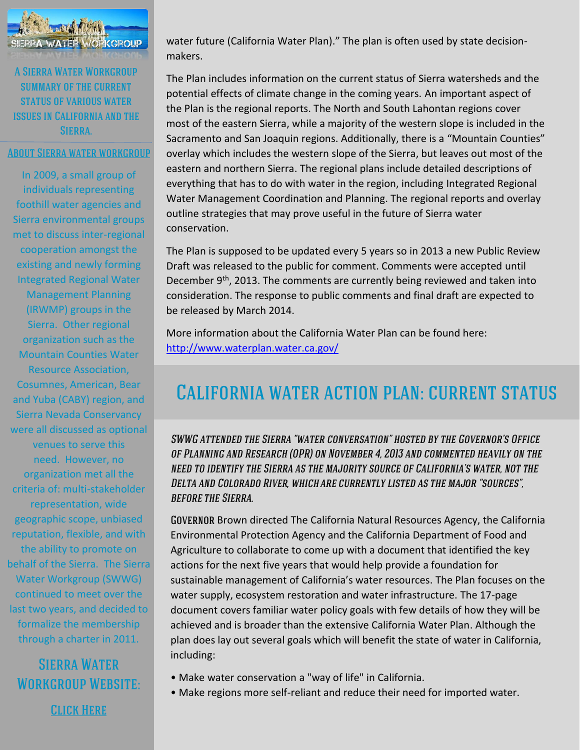

#### **ABOUT SIERRA WATER WORKGROUP**

In 2009, a small group of individuals representing foothill water agencies and Sierra environmental groups met to discuss inter-regional cooperation amongst the existing and newly forming Integrated Regional Water Management Planning (IRWMP) groups in the Sierra. Other regional organization such as the Mountain Counties Water Resource Association, Cosumnes, American, Bear and Yuba (CABY) region, and Sierra Nevada Conservancy were all discussed as optional venues to serve this need. However, no organization met all the criteria of: multi-stakeholder representation, wide geographic scope, unbiased reputation, flexible, and with the ability to promote on behalf of the Sierra. The Sierra Water Workgroup (SWWG) continued to meet over the last two years, and decided to formalize the membership through a charter in 2011.

## **SIERRA WATER WORKGROUP WEBSITE:**

**CLICK HERE** 

water future (California Water Plan)." The plan is often used by state decisionmakers.

The Plan includes information on the current status of Sierra watersheds and the potential effects of climate change in the coming years. An important aspect of the Plan is the regional reports. The North and South Lahontan regions cover most of the eastern Sierra, while a majority of the western slope is included in the Sacramento and San Joaquin regions. Additionally, there is a "Mountain Counties" overlay which includes the western slope of the Sierra, but leaves out most of the eastern and northern Sierra. The regional plans include detailed descriptions of everything that has to do with water in the region, including Integrated Regional Water Management Coordination and Planning. The regional reports and overlay outline strategies that may prove useful in the future of Sierra water conservation.

The Plan is supposed to be updated every 5 years so in 2013 a new Public Review Draft was released to the public for comment. Comments were accepted until December 9<sup>th</sup>, 2013. The comments are currently being reviewed and taken into consideration. The response to public comments and final draft are expected to be released by March 2014.

More information about the California Water Plan can be found here: <http://www.waterplan.water.ca.gov/>

## **CALIFORNIA WATER ACTION PLAN: CURRENT STATUS**

SWWG ATTENDED THE SIERRA "WATER CONVERSATION" HOSTED BY THE GOVERNOR'S OFFICE OF PLANNING AND RESEARCH (OPR) ON NOVEMBER 4, 2013 AND COMMENTED HEAVILY ON THE NEED TO IDENTIFY THE SIERRA AS THE MAJORITY SOURCE OF CALIFORNIA'S WATER, NOT THE DELTA AND COLORADO RIVER, WHICH ARE CURRENTLY LISTED AS THE MAJOR "SOURCES", **BEFORE THE SIERRA.** 

GOVERNOR Brown directed The California Natural Resources Agency, the California Environmental Protection Agency and the California Department of Food and Agriculture to collaborate to come up with a document that identified the key actions for the next five years that would help provide a foundation for sustainable management of California's water resources. The Plan focuses on the water supply, ecosystem restoration and water infrastructure. The 17-page document covers familiar water policy goals with few details of how they will be achieved and is broader than the extensive California Water Plan. Although the plan does lay out several goals which will benefit the state of water in California, including:

- Make water conservation a "way of life" in California.
- Make regions more self-reliant and reduce their need for imported water.